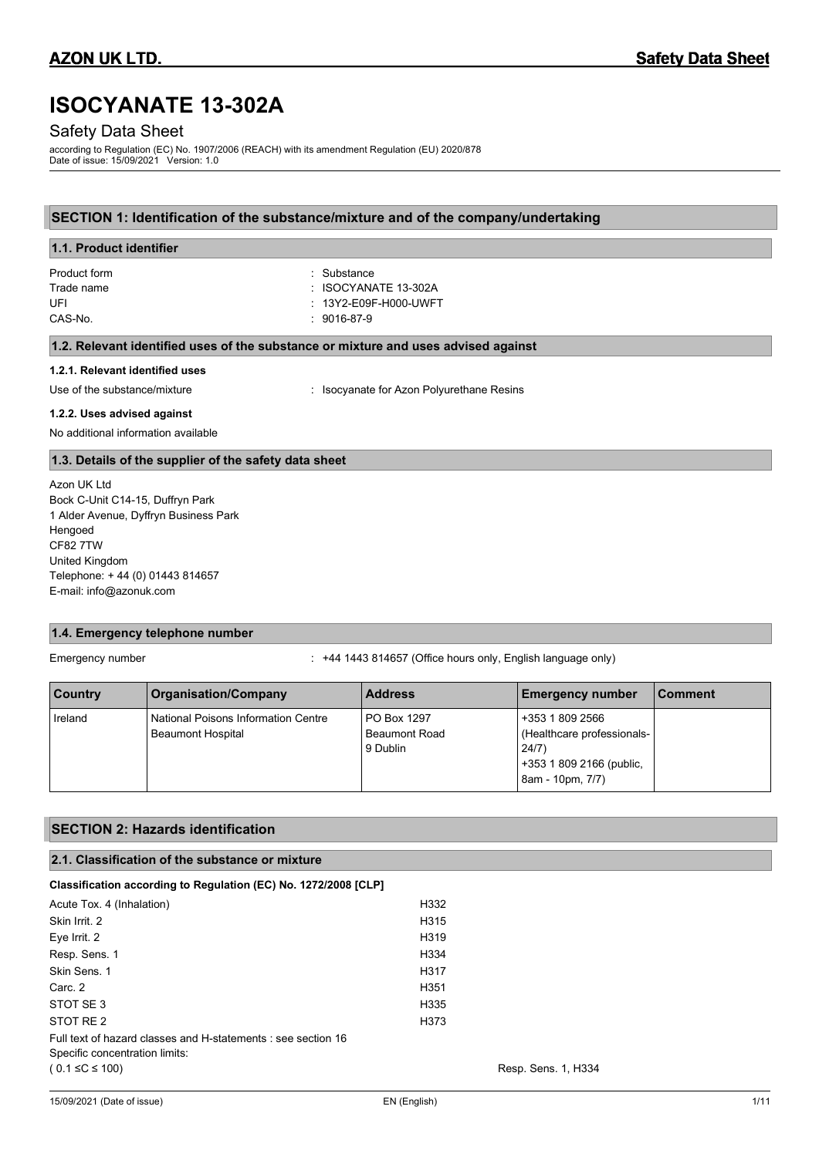# **ISOCYANATE 13-302A**

# Safety Data Sheet

according to Regulation (EC) No. 1907/2006 (REACH) with its amendment Regulation (EU) 2020/878 Date of issue: 15/09/2021 Version: 1.0

# **SECTION 1: Identification of the substance/mixture and of the company/undertaking**

| 1.1. Product identifier                                                            |                       |  |
|------------------------------------------------------------------------------------|-----------------------|--|
| Product form                                                                       | : Substance           |  |
| Trade name                                                                         | : ISOCYANATE 13-302A  |  |
| UFI                                                                                | : 13Y2-E09F-H000-UWFT |  |
| CAS-No.                                                                            | : 9016-87-9           |  |
| 1.2. Relevant identified uses of the substance or mixture and uses advised against |                       |  |
| 1.2.1. Relevant identified uses                                                    |                       |  |

Use of the substance/mixture in the substance/mixture in the substance/mixture in the substance of the substance of the substance of the substance of the substance of the substance of the substance of the substance of the

### **1.2.2. Uses advised against**

No additional information available

# **1.3. Details of the supplier of the safety data sheet**

Azon UK Ltd Bock C-Unit C14-15, Duffryn Park 1 Alder Avenue, Dyffryn Business Park Hengoed CF82 7TW United Kingdom Telephone: + 44 (0) 01443 814657 E-mail: info@azonuk.com

# **1.4. Emergency telephone number**

Emergency number : +44 1443 814657 (Office hours only, English language only)

| <b>Country</b> | <b>Organisation/Company</b>                                            | <b>Address</b>                                  | <b>Emergency number</b>                                                                                 | ⊺Comment |
|----------------|------------------------------------------------------------------------|-------------------------------------------------|---------------------------------------------------------------------------------------------------------|----------|
| Ireland        | <b>National Poisons Information Centre</b><br><b>Beaumont Hospital</b> | PO Box 1297<br><b>Beaumont Road</b><br>9 Dublin | +353 1 809 2566<br>(Healthcare professionals-)<br>24/7)<br>+353 1 809 2166 (public,<br>8am - 10pm, 7/7) |          |

| <b>SECTION 2: Hazards identification</b>                        |                     |  |
|-----------------------------------------------------------------|---------------------|--|
| 2.1. Classification of the substance or mixture                 |                     |  |
| Classification according to Regulation (EC) No. 1272/2008 [CLP] |                     |  |
| Acute Tox. 4 (Inhalation)                                       | H332                |  |
| Skin Irrit. 2                                                   | H315                |  |
| Eye Irrit. 2                                                    | H319                |  |
| Resp. Sens. 1                                                   | H334                |  |
| Skin Sens. 1                                                    | H317                |  |
| Carc. 2                                                         | H351                |  |
| STOT SE 3                                                       | H335                |  |
| STOT RE 2                                                       | H373                |  |
| Full text of hazard classes and H-statements : see section 16   |                     |  |
| Specific concentration limits:                                  |                     |  |
| $(0.1 \leq C \leq 100)$                                         | Resp. Sens. 1, H334 |  |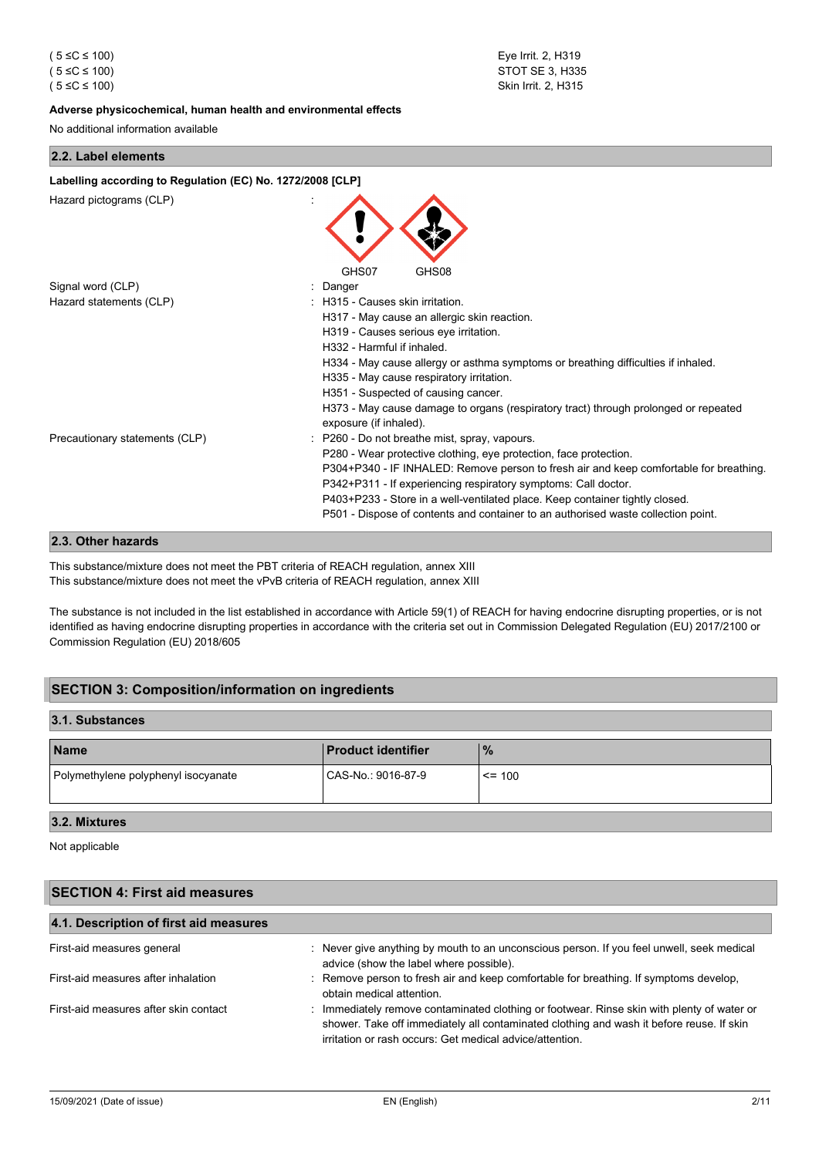#### **Adverse physicochemical, human health and environmental effects**

No additional information available

#### **2.2. Label elements**

| Labelling according to Regulation (EC) No. 1272/2008 [CLP] |                                                                                                                                                                                                                                                                                                                               |  |
|------------------------------------------------------------|-------------------------------------------------------------------------------------------------------------------------------------------------------------------------------------------------------------------------------------------------------------------------------------------------------------------------------|--|
| Hazard pictograms (CLP)                                    |                                                                                                                                                                                                                                                                                                                               |  |
|                                                            | GHS07<br>GHS08                                                                                                                                                                                                                                                                                                                |  |
| Signal word (CLP)                                          | Danger                                                                                                                                                                                                                                                                                                                        |  |
| Hazard statements (CLP)                                    | H315 - Causes skin irritation.<br>H317 - May cause an allergic skin reaction.<br>H319 - Causes serious eye irritation.                                                                                                                                                                                                        |  |
|                                                            |                                                                                                                                                                                                                                                                                                                               |  |
|                                                            | H332 - Harmful if inhaled.                                                                                                                                                                                                                                                                                                    |  |
|                                                            | H334 - May cause allergy or asthma symptoms or breathing difficulties if inhaled.<br>H335 - May cause respiratory irritation.                                                                                                                                                                                                 |  |
|                                                            | H351 - Suspected of causing cancer.                                                                                                                                                                                                                                                                                           |  |
|                                                            | H373 - May cause damage to organs (respiratory tract) through prolonged or repeated<br>exposure (if inhaled).                                                                                                                                                                                                                 |  |
| Precautionary statements (CLP)                             | P260 - Do not breathe mist, spray, vapours.                                                                                                                                                                                                                                                                                   |  |
|                                                            | P280 - Wear protective clothing, eye protection, face protection.                                                                                                                                                                                                                                                             |  |
|                                                            | P304+P340 - IF INHALED: Remove person to fresh air and keep comfortable for breathing.<br>P342+P311 - If experiencing respiratory symptoms: Call doctor.<br>P403+P233 - Store in a well-ventilated place. Keep container tightly closed.<br>P501 - Dispose of contents and container to an authorised waste collection point. |  |
|                                                            |                                                                                                                                                                                                                                                                                                                               |  |

# **2.3. Other hazards**

This substance/mixture does not meet the PBT criteria of REACH regulation, annex XIII This substance/mixture does not meet the vPvB criteria of REACH regulation, annex XIII

The substance is not included in the list established in accordance with Article 59(1) of REACH for having endocrine disrupting properties, or is not identified as having endocrine disrupting properties in accordance with the criteria set out in Commission Delegated Regulation (EU) 2017/2100 or Commission Regulation (EU) 2018/605

# **SECTION 3: Composition/information on ingredients**

# **3.1. Substances**

| <b>Name</b>                         | <b>Product identifier</b> | $\frac{9}{6}$ |
|-------------------------------------|---------------------------|---------------|
| Polymethylene polyphenyl isocyanate | CAS-No.: 9016-87-9        | $\leq$ = 100  |

# **3.2. Mixtures**

Not applicable

## **SECTION 4: First aid measures**

| 4.1. Description of first aid measures |                                                                                                                                                                                                                                                    |  |
|----------------------------------------|----------------------------------------------------------------------------------------------------------------------------------------------------------------------------------------------------------------------------------------------------|--|
| First-aid measures general             | : Never give anything by mouth to an unconscious person. If you feel unwell, seek medical<br>advice (show the label where possible).                                                                                                               |  |
| First-aid measures after inhalation    | : Remove person to fresh air and keep comfortable for breathing. If symptoms develop,<br>obtain medical attention.                                                                                                                                 |  |
| First-aid measures after skin contact  | : Immediately remove contaminated clothing or footwear. Rinse skin with plenty of water or<br>shower. Take off immediately all contaminated clothing and wash it before reuse. If skin<br>irritation or rash occurs: Get medical advice/attention. |  |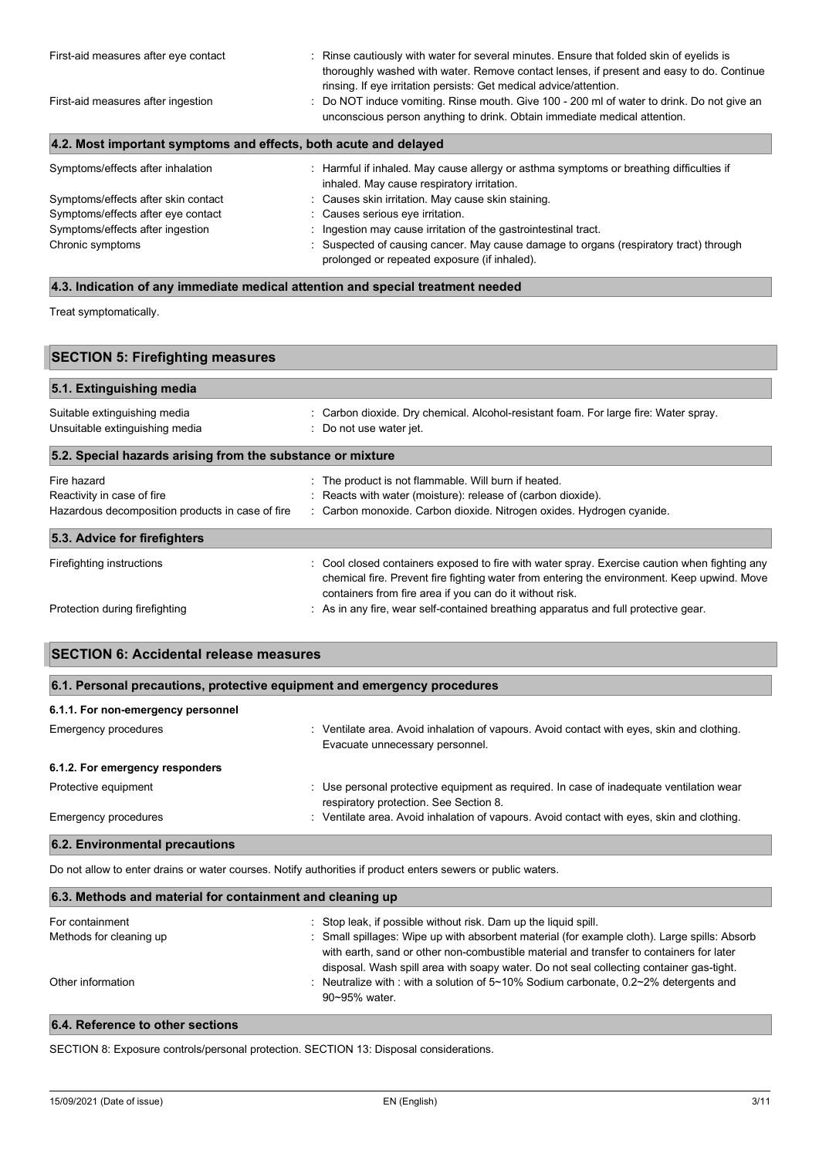| First-aid measures after eye contact<br>First-aid measures after ingestion | : Rinse cautiously with water for several minutes. Ensure that folded skin of eyelids is<br>thoroughly washed with water. Remove contact lenses, if present and easy to do. Continue<br>rinsing. If eye irritation persists: Get medical advice/attention.<br>: Do NOT induce vomiting. Rinse mouth. Give 100 - 200 ml of water to drink. Do not give an<br>unconscious person anything to drink. Obtain immediate medical attention. |
|----------------------------------------------------------------------------|---------------------------------------------------------------------------------------------------------------------------------------------------------------------------------------------------------------------------------------------------------------------------------------------------------------------------------------------------------------------------------------------------------------------------------------|
| 4.2. Most important symptoms and effects, both acute and delayed           |                                                                                                                                                                                                                                                                                                                                                                                                                                       |
| Symptoms/effects after inhalation                                          | : Harmful if inhaled. May cause allergy or asthma symptoms or breathing difficulties if<br>inhaled. May cause respiratory irritation.                                                                                                                                                                                                                                                                                                 |
| Symptoms/effects after skin contact                                        | : Causes skin irritation. May cause skin staining.                                                                                                                                                                                                                                                                                                                                                                                    |
| Symptoms/effects after eye contact                                         | : Causes serious eye irritation.                                                                                                                                                                                                                                                                                                                                                                                                      |
| Symptoms/effects after ingestion                                           | : Ingestion may cause irritation of the gastrointestinal tract.                                                                                                                                                                                                                                                                                                                                                                       |
| Chronic symptoms                                                           | : Suspected of causing cancer. May cause damage to organs (respiratory tract) through                                                                                                                                                                                                                                                                                                                                                 |

prolonged or repeated exposure (if inhaled).

## **4.3. Indication of any immediate medical attention and special treatment needed**

Treat symptomatically.

| <b>SECTION 5: Firefighting measures</b>                        |                                                                                                                                                                                                                                                          |  |
|----------------------------------------------------------------|----------------------------------------------------------------------------------------------------------------------------------------------------------------------------------------------------------------------------------------------------------|--|
| 5.1. Extinguishing media                                       |                                                                                                                                                                                                                                                          |  |
| Suitable extinguishing media<br>Unsuitable extinguishing media | : Carbon dioxide. Dry chemical. Alcohol-resistant foam. For large fire: Water spray.<br>: Do not use water jet.                                                                                                                                          |  |
| 5.2. Special hazards arising from the substance or mixture     |                                                                                                                                                                                                                                                          |  |
| Fire hazard                                                    | : The product is not flammable. Will burn if heated.                                                                                                                                                                                                     |  |
| Reactivity in case of fire                                     | : Reacts with water (moisture): release of (carbon dioxide).                                                                                                                                                                                             |  |
| Hazardous decomposition products in case of fire               | : Carbon monoxide. Carbon dioxide. Nitrogen oxides. Hydrogen cyanide.                                                                                                                                                                                    |  |
| 5.3. Advice for firefighters                                   |                                                                                                                                                                                                                                                          |  |
| Firefighting instructions                                      | : Cool closed containers exposed to fire with water spray. Exercise caution when fighting any<br>chemical fire. Prevent fire fighting water from entering the environment. Keep upwind. Move<br>containers from fire area if you can do it without risk. |  |
| Protection during firefighting                                 | : As in any fire, wear self-contained breathing apparatus and full protective gear.                                                                                                                                                                      |  |

| <b>SECTION 6: Accidental release measures</b>                            |                                                                                                                               |  |
|--------------------------------------------------------------------------|-------------------------------------------------------------------------------------------------------------------------------|--|
| 6.1. Personal precautions, protective equipment and emergency procedures |                                                                                                                               |  |
| 6.1.1. For non-emergency personnel                                       |                                                                                                                               |  |
| Emergency procedures                                                     | : Ventilate area. Avoid inhalation of vapours. Avoid contact with eyes, skin and clothing.<br>Evacuate unnecessary personnel. |  |
| 6.1.2. For emergency responders                                          |                                                                                                                               |  |
| Protective equipment                                                     | : Use personal protective equipment as required. In case of inadequate ventilation wear<br>.                                  |  |

# respiratory protection. See Section 8. Emergency procedures **in the startup of the Control** inhalation of vapours. Avoid contact with eyes, skin and clothing. **6.2. Environmental precautions**

Do not allow to enter drains or water courses. Notify authorities if product enters sewers or public waters.

| 6.3. Methods and material for containment and cleaning up |                                                                                                                                                                                                                                                                                    |  |
|-----------------------------------------------------------|------------------------------------------------------------------------------------------------------------------------------------------------------------------------------------------------------------------------------------------------------------------------------------|--|
| For containment                                           | : Stop leak, if possible without risk. Dam up the liquid spill.                                                                                                                                                                                                                    |  |
| Methods for cleaning up                                   | : Small spillages: Wipe up with absorbent material (for example cloth). Large spills: Absorb<br>with earth, sand or other non-combustible material and transfer to containers for later<br>disposal. Wash spill area with soapy water. Do not seal collecting container gas-tight. |  |
| Other information                                         | : Neutralize with : with a solution of $5 \sim 10\%$ Sodium carbonate, 0.2 $\sim$ 2% detergents and<br>$90\neg 95\%$ water.                                                                                                                                                        |  |

# **6.4. Reference to other sections**

SECTION 8: Exposure controls/personal protection. SECTION 13: Disposal considerations.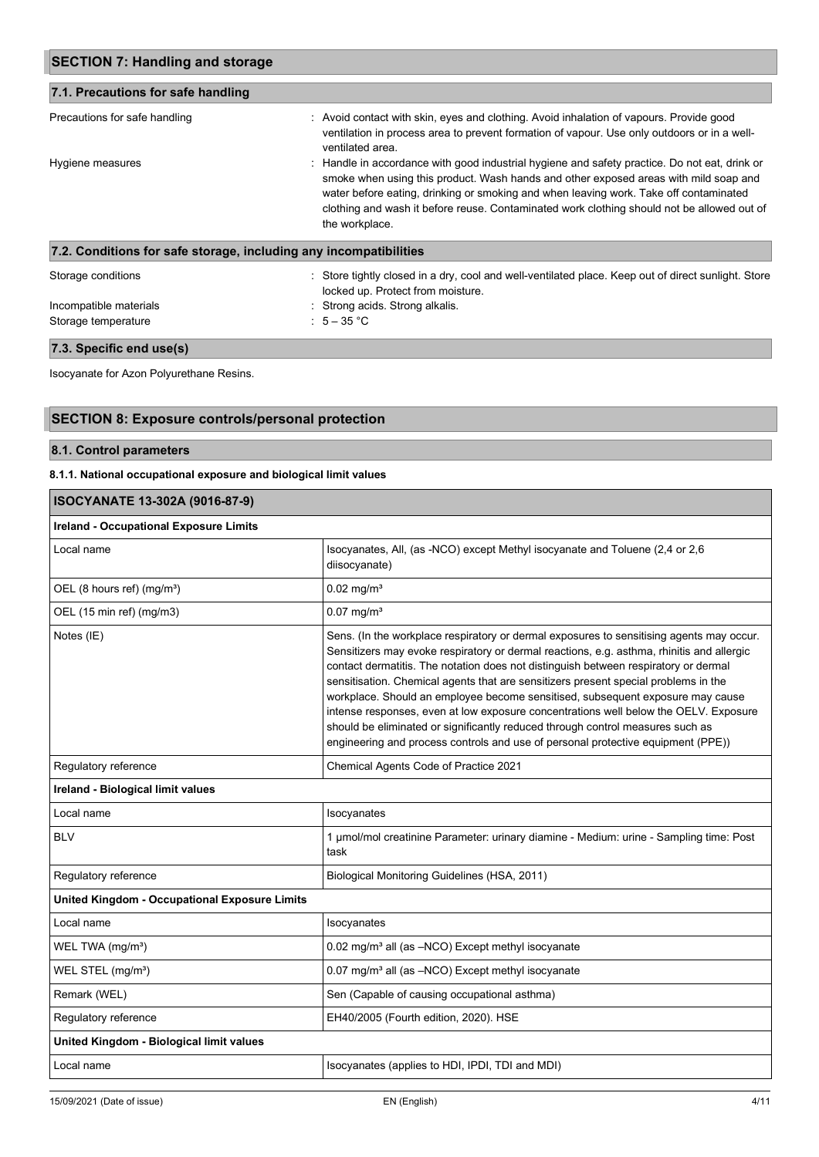| <b>SECTION 7: Handling and storage</b><br>7.1. Precautions for safe handling |                                                                                                                                                                                                                                                                                                                                                                                                |  |
|------------------------------------------------------------------------------|------------------------------------------------------------------------------------------------------------------------------------------------------------------------------------------------------------------------------------------------------------------------------------------------------------------------------------------------------------------------------------------------|--|
|                                                                              |                                                                                                                                                                                                                                                                                                                                                                                                |  |
| Hygiene measures                                                             | : Handle in accordance with good industrial hygiene and safety practice. Do not eat, drink or<br>smoke when using this product. Wash hands and other exposed areas with mild soap and<br>water before eating, drinking or smoking and when leaving work. Take off contaminated<br>clothing and wash it before reuse. Contaminated work clothing should not be allowed out of<br>the workplace. |  |
| 7.2. Conditions for safe storage, including any incompatibilities            |                                                                                                                                                                                                                                                                                                                                                                                                |  |
| Storage conditions                                                           | : Store tightly closed in a dry, cool and well-ventilated place. Keep out of direct sunlight. Store<br>locked up. Protect from moisture.                                                                                                                                                                                                                                                       |  |
| Incompatible materials                                                       | : Strong acids. Strong alkalis.                                                                                                                                                                                                                                                                                                                                                                |  |
| Storage temperature                                                          | : $5-35$ °C                                                                                                                                                                                                                                                                                                                                                                                    |  |

# **7.3. Specific end use(s)**

Isocyanate for Azon Polyurethane Resins.

# **SECTION 8: Exposure controls/personal protection**

# **8.1. Control parameters**

# **8.1.1. National occupational exposure and biological limit values**

| ISOCYANATE 13-302A (9016-87-9)                                                                                                                                                                                                                                                                                                                                                                                                                                                                                                                                                                                                                                                                                      |  |  |
|---------------------------------------------------------------------------------------------------------------------------------------------------------------------------------------------------------------------------------------------------------------------------------------------------------------------------------------------------------------------------------------------------------------------------------------------------------------------------------------------------------------------------------------------------------------------------------------------------------------------------------------------------------------------------------------------------------------------|--|--|
| <b>Ireland - Occupational Exposure Limits</b>                                                                                                                                                                                                                                                                                                                                                                                                                                                                                                                                                                                                                                                                       |  |  |
| Isocyanates, All, (as -NCO) except Methyl isocyanate and Toluene (2,4 or 2,6<br>diisocyanate)                                                                                                                                                                                                                                                                                                                                                                                                                                                                                                                                                                                                                       |  |  |
| $0.02 \text{ mg/m}^3$                                                                                                                                                                                                                                                                                                                                                                                                                                                                                                                                                                                                                                                                                               |  |  |
| $0.07$ mg/m <sup>3</sup>                                                                                                                                                                                                                                                                                                                                                                                                                                                                                                                                                                                                                                                                                            |  |  |
| Sens. (In the workplace respiratory or dermal exposures to sensitising agents may occur.<br>Sensitizers may evoke respiratory or dermal reactions, e.g. asthma, rhinitis and allergic<br>contact dermatitis. The notation does not distinguish between respiratory or dermal<br>sensitisation. Chemical agents that are sensitizers present special problems in the<br>workplace. Should an employee become sensitised, subsequent exposure may cause<br>intense responses, even at low exposure concentrations well below the OELV. Exposure<br>should be eliminated or significantly reduced through control measures such as<br>engineering and process controls and use of personal protective equipment (PPE)) |  |  |
| Chemical Agents Code of Practice 2021                                                                                                                                                                                                                                                                                                                                                                                                                                                                                                                                                                                                                                                                               |  |  |
|                                                                                                                                                                                                                                                                                                                                                                                                                                                                                                                                                                                                                                                                                                                     |  |  |
| Isocyanates                                                                                                                                                                                                                                                                                                                                                                                                                                                                                                                                                                                                                                                                                                         |  |  |
| 1 µmol/mol creatinine Parameter: urinary diamine - Medium: urine - Sampling time: Post<br>task                                                                                                                                                                                                                                                                                                                                                                                                                                                                                                                                                                                                                      |  |  |
| Biological Monitoring Guidelines (HSA, 2011)                                                                                                                                                                                                                                                                                                                                                                                                                                                                                                                                                                                                                                                                        |  |  |
|                                                                                                                                                                                                                                                                                                                                                                                                                                                                                                                                                                                                                                                                                                                     |  |  |
| Isocyanates                                                                                                                                                                                                                                                                                                                                                                                                                                                                                                                                                                                                                                                                                                         |  |  |
| 0.02 mg/m <sup>3</sup> all (as -NCO) Except methyl isocyanate                                                                                                                                                                                                                                                                                                                                                                                                                                                                                                                                                                                                                                                       |  |  |
| 0.07 mg/m <sup>3</sup> all (as -NCO) Except methyl isocyanate                                                                                                                                                                                                                                                                                                                                                                                                                                                                                                                                                                                                                                                       |  |  |
| Sen (Capable of causing occupational asthma)                                                                                                                                                                                                                                                                                                                                                                                                                                                                                                                                                                                                                                                                        |  |  |
| EH40/2005 (Fourth edition, 2020). HSE                                                                                                                                                                                                                                                                                                                                                                                                                                                                                                                                                                                                                                                                               |  |  |
|                                                                                                                                                                                                                                                                                                                                                                                                                                                                                                                                                                                                                                                                                                                     |  |  |
| Isocyanates (applies to HDI, IPDI, TDI and MDI)                                                                                                                                                                                                                                                                                                                                                                                                                                                                                                                                                                                                                                                                     |  |  |
|                                                                                                                                                                                                                                                                                                                                                                                                                                                                                                                                                                                                                                                                                                                     |  |  |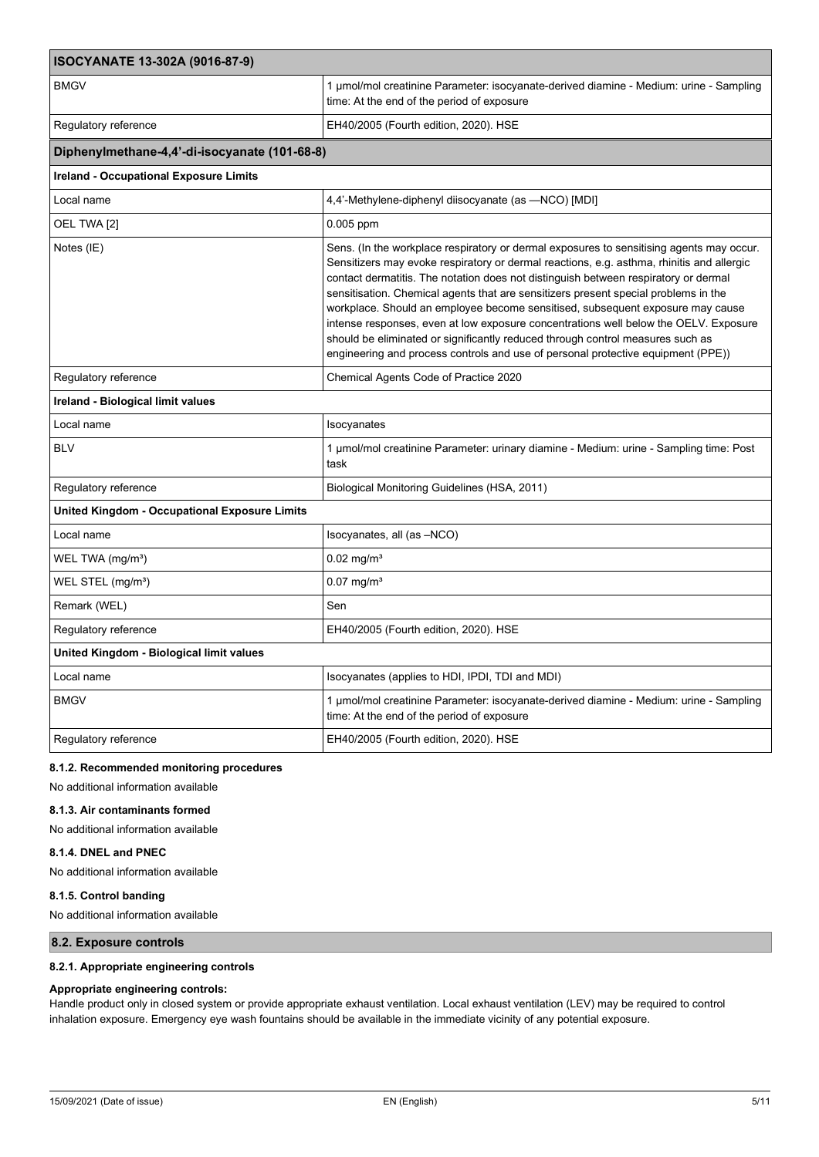| ISOCYANATE 13-302A (9016-87-9)                       |                                                                                                                                                                                                                                                                                                                                                                                                                                                                                                                                                                                                                                                                                                                     |  |
|------------------------------------------------------|---------------------------------------------------------------------------------------------------------------------------------------------------------------------------------------------------------------------------------------------------------------------------------------------------------------------------------------------------------------------------------------------------------------------------------------------------------------------------------------------------------------------------------------------------------------------------------------------------------------------------------------------------------------------------------------------------------------------|--|
| <b>BMGV</b>                                          | 1 umol/mol creatinine Parameter: isocyanate-derived diamine - Medium: urine - Sampling<br>time: At the end of the period of exposure                                                                                                                                                                                                                                                                                                                                                                                                                                                                                                                                                                                |  |
| Regulatory reference                                 | EH40/2005 (Fourth edition, 2020). HSE                                                                                                                                                                                                                                                                                                                                                                                                                                                                                                                                                                                                                                                                               |  |
| Diphenylmethane-4,4'-di-isocyanate (101-68-8)        |                                                                                                                                                                                                                                                                                                                                                                                                                                                                                                                                                                                                                                                                                                                     |  |
| <b>Ireland - Occupational Exposure Limits</b>        |                                                                                                                                                                                                                                                                                                                                                                                                                                                                                                                                                                                                                                                                                                                     |  |
| Local name                                           | 4,4'-Methylene-diphenyl diisocyanate (as --NCO) [MDI]                                                                                                                                                                                                                                                                                                                                                                                                                                                                                                                                                                                                                                                               |  |
| OEL TWA [2]                                          | $0.005$ ppm                                                                                                                                                                                                                                                                                                                                                                                                                                                                                                                                                                                                                                                                                                         |  |
| Notes (IE)                                           | Sens. (In the workplace respiratory or dermal exposures to sensitising agents may occur.<br>Sensitizers may evoke respiratory or dermal reactions, e.g. asthma, rhinitis and allergic<br>contact dermatitis. The notation does not distinguish between respiratory or dermal<br>sensitisation. Chemical agents that are sensitizers present special problems in the<br>workplace. Should an employee become sensitised, subsequent exposure may cause<br>intense responses, even at low exposure concentrations well below the OELV. Exposure<br>should be eliminated or significantly reduced through control measures such as<br>engineering and process controls and use of personal protective equipment (PPE)) |  |
| Regulatory reference                                 | Chemical Agents Code of Practice 2020                                                                                                                                                                                                                                                                                                                                                                                                                                                                                                                                                                                                                                                                               |  |
| Ireland - Biological limit values                    |                                                                                                                                                                                                                                                                                                                                                                                                                                                                                                                                                                                                                                                                                                                     |  |
| Local name                                           | Isocyanates                                                                                                                                                                                                                                                                                                                                                                                                                                                                                                                                                                                                                                                                                                         |  |
| <b>BLV</b>                                           | 1 umol/mol creatinine Parameter: urinary diamine - Medium: urine - Sampling time: Post<br>task                                                                                                                                                                                                                                                                                                                                                                                                                                                                                                                                                                                                                      |  |
| Regulatory reference                                 | Biological Monitoring Guidelines (HSA, 2011)                                                                                                                                                                                                                                                                                                                                                                                                                                                                                                                                                                                                                                                                        |  |
| <b>United Kingdom - Occupational Exposure Limits</b> |                                                                                                                                                                                                                                                                                                                                                                                                                                                                                                                                                                                                                                                                                                                     |  |
| Local name                                           | Isocyanates, all (as -NCO)                                                                                                                                                                                                                                                                                                                                                                                                                                                                                                                                                                                                                                                                                          |  |
| WEL TWA (mg/m <sup>3</sup> )                         | $0.02$ mg/m <sup>3</sup>                                                                                                                                                                                                                                                                                                                                                                                                                                                                                                                                                                                                                                                                                            |  |
| WEL STEL (mg/m <sup>3</sup> )                        | $0.07$ mg/m <sup>3</sup>                                                                                                                                                                                                                                                                                                                                                                                                                                                                                                                                                                                                                                                                                            |  |
| Remark (WEL)                                         | Sen                                                                                                                                                                                                                                                                                                                                                                                                                                                                                                                                                                                                                                                                                                                 |  |
| Regulatory reference                                 | EH40/2005 (Fourth edition, 2020). HSE                                                                                                                                                                                                                                                                                                                                                                                                                                                                                                                                                                                                                                                                               |  |
| United Kingdom - Biological limit values             |                                                                                                                                                                                                                                                                                                                                                                                                                                                                                                                                                                                                                                                                                                                     |  |
| Local name                                           | Isocyanates (applies to HDI, IPDI, TDI and MDI)                                                                                                                                                                                                                                                                                                                                                                                                                                                                                                                                                                                                                                                                     |  |
| <b>BMGV</b>                                          | 1 µmol/mol creatinine Parameter: isocyanate-derived diamine - Medium: urine - Sampling<br>time: At the end of the period of exposure                                                                                                                                                                                                                                                                                                                                                                                                                                                                                                                                                                                |  |
| Regulatory reference                                 | EH40/2005 (Fourth edition, 2020). HSE                                                                                                                                                                                                                                                                                                                                                                                                                                                                                                                                                                                                                                                                               |  |

### **8.1.2. Recommended monitoring procedures**

No additional information available

#### **8.1.3. Air contaminants formed**

No additional information available

# **8.1.4. DNEL and PNEC**

No additional information available

# **8.1.5. Control banding**

No additional information available

# **8.2. Exposure controls**

#### **8.2.1. Appropriate engineering controls**

## **Appropriate engineering controls:**

Handle product only in closed system or provide appropriate exhaust ventilation. Local exhaust ventilation (LEV) may be required to control inhalation exposure. Emergency eye wash fountains should be available in the immediate vicinity of any potential exposure.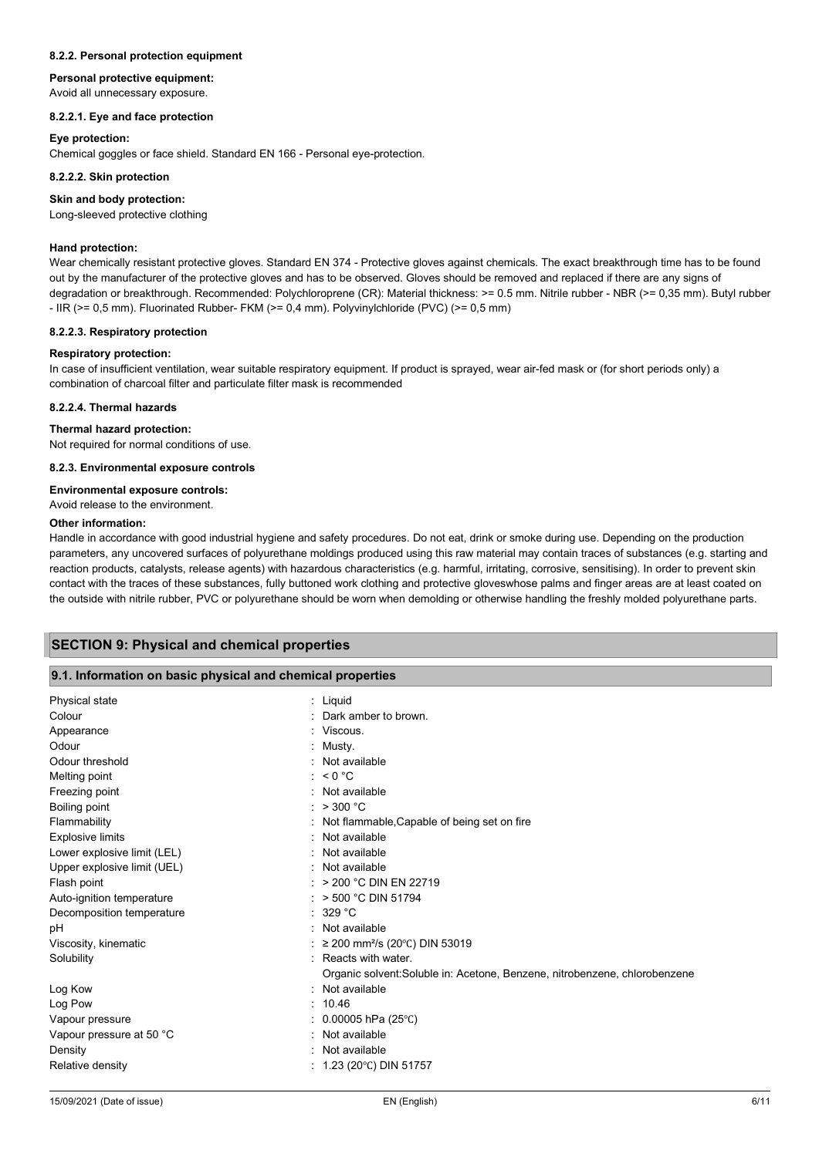#### **8.2.2. Personal protection equipment**

### **Personal protective equipment:**

Avoid all unnecessary exposure.

### **8.2.2.1. Eye and face protection**

#### **Eye protection:**

Chemical goggles or face shield. Standard EN 166 - Personal eye-protection.

#### **8.2.2.2. Skin protection**

#### **Skin and body protection:**

Long-sleeved protective clothing

### **Hand protection:**

Wear chemically resistant protective gloves. Standard EN 374 - Protective gloves against chemicals. The exact breakthrough time has to be found out by the manufacturer of the protective gloves and has to be observed. Gloves should be removed and replaced if there are any signs of degradation or breakthrough. Recommended: Polychloroprene (CR): Material thickness: >= 0.5 mm. Nitrile rubber - NBR (>= 0,35 mm). Butyl rubber - IIR (>= 0,5 mm). Fluorinated Rubber- FKM (>= 0,4 mm). Polyvinylchloride (PVC) (>= 0,5 mm)

#### **8.2.2.3. Respiratory protection**

#### **Respiratory protection:**

In case of insufficient ventilation, wear suitable respiratory equipment. If product is sprayed, wear air-fed mask or (for short periods only) a combination of charcoal filter and particulate filter mask is recommended

#### **8.2.2.4. Thermal hazards**

### **Thermal hazard protection:**

Not required for normal conditions of use.

**8.2.3. Environmental exposure controls**

#### **Environmental exposure controls:**

# Avoid release to the environment.

#### **Other information:**

Handle in accordance with good industrial hygiene and safety procedures. Do not eat, drink or smoke during use. Depending on the production parameters, any uncovered surfaces of polyurethane moldings produced using this raw material may contain traces of substances (e.g. starting and reaction products, catalysts, release agents) with hazardous characteristics (e.g. harmful, irritating, corrosive, sensitising). In order to prevent skin contact with the traces of these substances, fully buttoned work clothing and protective gloveswhose palms and finger areas are at least coated on the outside with nitrile rubber, PVC or polyurethane should be worn when demolding or otherwise handling the freshly molded polyurethane parts.

### **SECTION 9: Physical and chemical properties**

#### **9.1. Information on basic physical and chemical properties**

| Physical state              | : Liguid                                                                   |
|-----------------------------|----------------------------------------------------------------------------|
| Colour                      | Dark amber to brown.                                                       |
| Appearance                  | : Viscous.                                                                 |
| Odour                       | Musty.                                                                     |
| Odour threshold             | : Not available                                                            |
| Melting point               | : $< 0$ °C                                                                 |
| Freezing point              | : Not available                                                            |
| Boiling point               | : $> 300 °C$                                                               |
| Flammability                | : Not flammable, Capable of being set on fire                              |
| <b>Explosive limits</b>     | Not available                                                              |
| Lower explosive limit (LEL) | Not available                                                              |
| Upper explosive limit (UEL) | Not available                                                              |
| Flash point                 | $:$ > 200 °C DIN EN 22719                                                  |
| Auto-ignition temperature   | $:$ > 500 °C DIN 51794                                                     |
| Decomposition temperature   | : 329 °C                                                                   |
| рH                          | : Not available                                                            |
| Viscosity, kinematic        | : ≥ 200 mm <sup>2</sup> /s (20°C) DIN 53019                                |
| Solubility                  | : Reacts with water.                                                       |
|                             | Organic solvent: Soluble in: Acetone, Benzene, nitrobenzene, chlorobenzene |
| Log Kow                     | Not available                                                              |
| Log Pow                     | 10.46                                                                      |
| Vapour pressure             | $0.00005$ hPa (25°C)                                                       |
| Vapour pressure at 50 °C    | Not available                                                              |
| Density                     | Not available                                                              |
| Relative density            | $: 1.23$ (20°C) DIN 51757                                                  |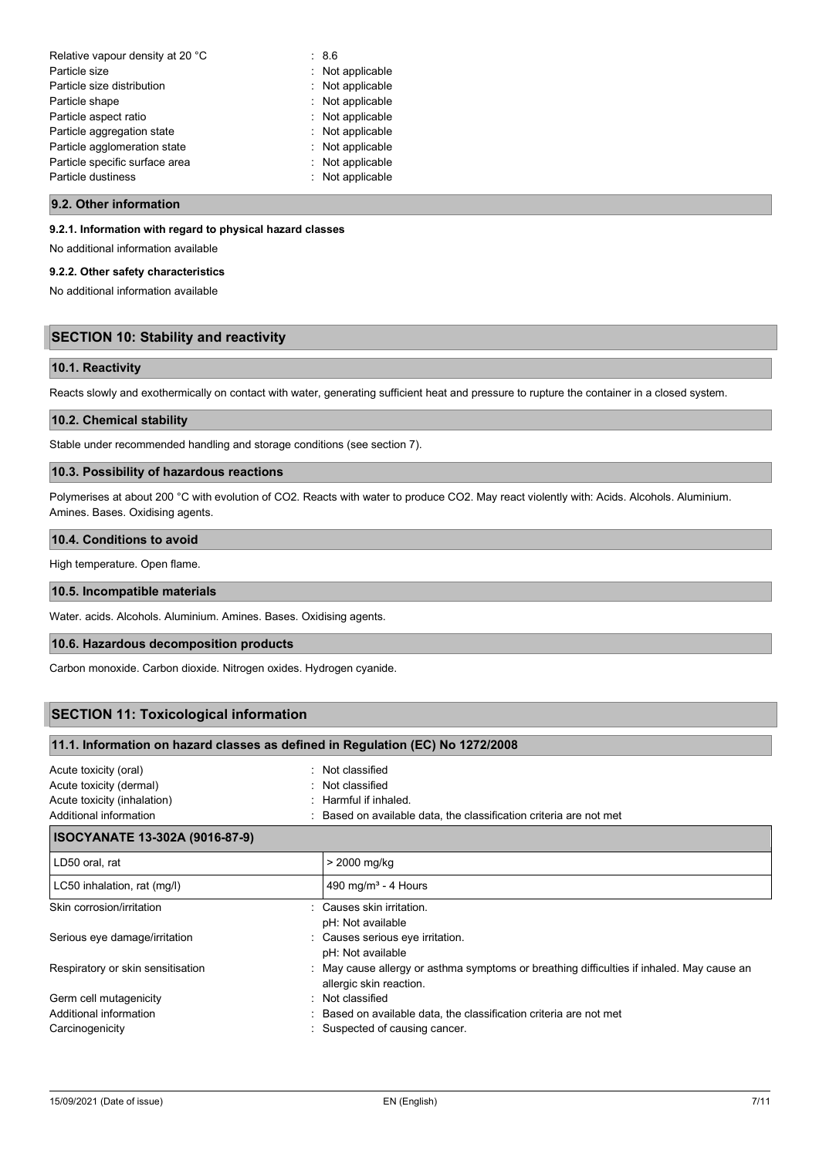| Relative vapour density at 20 °C | : 8.6            |
|----------------------------------|------------------|
| Particle size                    | : Not applicable |
| Particle size distribution       | : Not applicable |
| Particle shape                   | : Not applicable |
| Particle aspect ratio            | : Not applicable |
| Particle aggregation state       | : Not applicable |
| Particle agglomeration state     | : Not applicable |
| Particle specific surface area   | : Not applicable |
| Particle dustiness               | : Not applicable |
|                                  |                  |

#### **9.2. Other information**

#### **9.2.1. Information with regard to physical hazard classes**

No additional information available

#### **9.2.2. Other safety characteristics**

No additional information available

# **SECTION 10: Stability and reactivity**

### **10.1. Reactivity**

Reacts slowly and exothermically on contact with water, generating sufficient heat and pressure to rupture the container in a closed system.

#### **10.2. Chemical stability**

Stable under recommended handling and storage conditions (see section 7).

# **10.3. Possibility of hazardous reactions**

Polymerises at about 200 °C with evolution of CO2. Reacts with water to produce CO2. May react violently with: Acids. Alcohols. Aluminium. Amines. Bases. Oxidising agents.

### **10.4. Conditions to avoid**

High temperature. Open flame.

### **10.5. Incompatible materials**

Water. acids. Alcohols. Aluminium. Amines. Bases. Oxidising agents.

### **10.6. Hazardous decomposition products**

Carbon monoxide. Carbon dioxide. Nitrogen oxides. Hydrogen cyanide.

**11.1. Information on hazard classes as defined in Regulation (EC) No 1272/2008**

# **SECTION 11: Toxicological information**

| Acute toxicity (oral)                 | : Not classified                                                                                                     |  |
|---------------------------------------|----------------------------------------------------------------------------------------------------------------------|--|
| Acute toxicity (dermal)               | : Not classified                                                                                                     |  |
| Acute toxicity (inhalation)           | Harmful if inhaled.                                                                                                  |  |
| Additional information                | : Based on available data, the classification criteria are not met                                                   |  |
| <b>ISOCYANATE 13-302A (9016-87-9)</b> |                                                                                                                      |  |
| LD50 oral, rat                        | > 2000 mg/kg                                                                                                         |  |
| LC50 inhalation, rat (mg/l)           | 490 mg/m <sup>3</sup> - 4 Hours                                                                                      |  |
| Skin corrosion/irritation             | : Causes skin irritation.<br>pH: Not available                                                                       |  |
| Serious eye damage/irritation         | : Causes serious eye irritation.<br>pH: Not available                                                                |  |
| Respiratory or skin sensitisation     | : May cause allergy or asthma symptoms or breathing difficulties if inhaled. May cause an<br>allergic skin reaction. |  |
| Germ cell mutagenicity                | : Not classified                                                                                                     |  |
| Additional information                | Based on available data, the classification criteria are not met                                                     |  |
| Carcinogenicity                       | Suspected of causing cancer.                                                                                         |  |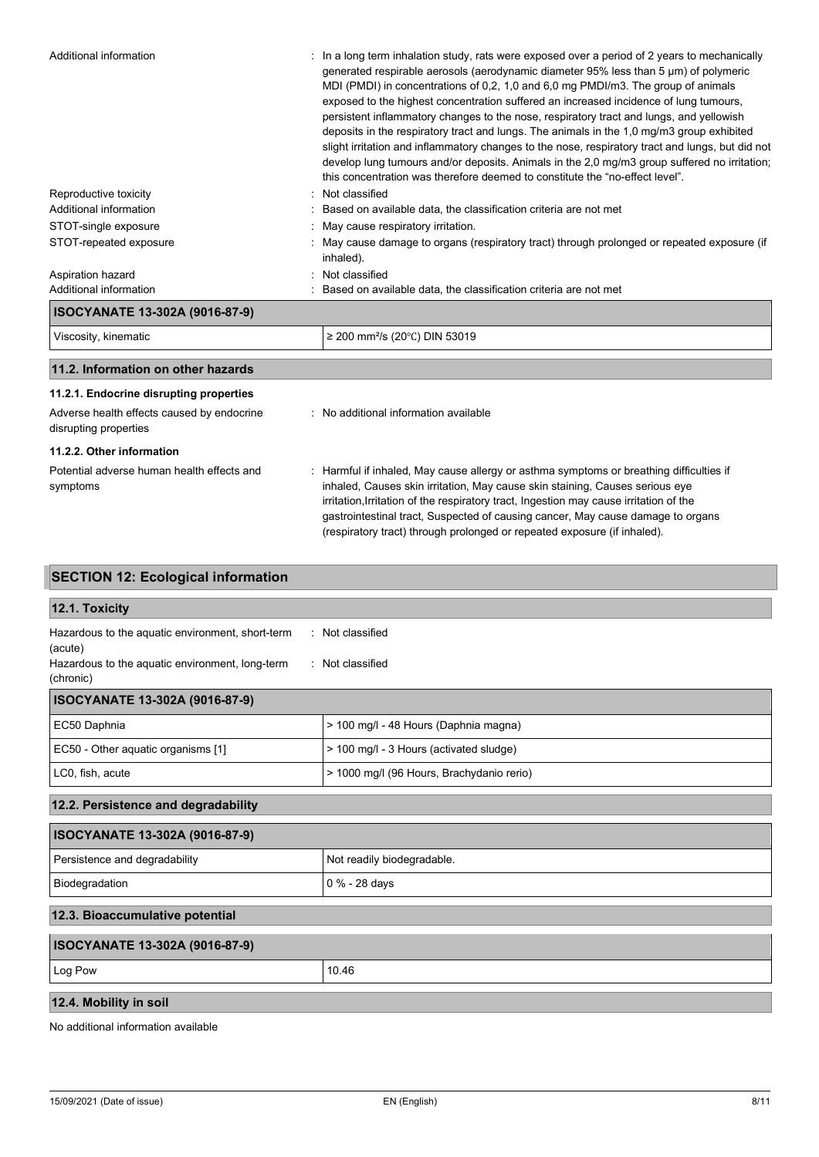| Additional information                     | $\therefore$ In a long term inhalation study, rats were exposed over a period of 2 years to mechanically |
|--------------------------------------------|----------------------------------------------------------------------------------------------------------|
|                                            | generated respirable aerosols (aerodynamic diameter 95% less than 5 µm) of polymeric                     |
|                                            | MDI (PMDI) in concentrations of 0,2, 1,0 and 6,0 mg PMDI/m3. The group of animals                        |
|                                            | exposed to the highest concentration suffered an increased incidence of lung tumours,                    |
|                                            | persistent inflammatory changes to the nose, respiratory tract and lungs, and yellowish                  |
|                                            | deposits in the respiratory tract and lungs. The animals in the 1,0 mg/m3 group exhibited                |
|                                            | slight irritation and inflammatory changes to the nose, respiratory tract and lungs, but did not         |
|                                            | develop lung tumours and/or deposits. Animals in the 2,0 mg/m3 group suffered no irritation;             |
|                                            | this concentration was therefore deemed to constitute the "no-effect level".                             |
| Reproductive toxicity                      | : Not classified                                                                                         |
| Additional information                     | : Based on available data, the classification criteria are not met                                       |
| STOT-single exposure                       | : May cause respiratory irritation.                                                                      |
| STOT-repeated exposure                     | : May cause damage to organs (respiratory tract) through prolonged or repeated exposure (if<br>inhaled). |
| Aspiration hazard                          | : Not classified                                                                                         |
| Additional information                     | : Based on available data, the classification criteria are not met                                       |
| ISOCYANATE 13-302A (9016-87-9)             |                                                                                                          |
| Viscosity, kinematic                       | ≥ 200 mm <sup>2</sup> /s (20°C) DIN 53019                                                                |
| 11.2. Information on other hazards         |                                                                                                          |
| 11.2.1. Endocrine disrupting properties    |                                                                                                          |
| Adverse health effects caused by endocrine | : No additional information available                                                                    |
| disrupting properties                      |                                                                                                          |
| 11.2.2. Other information                  |                                                                                                          |
|                                            |                                                                                                          |

| Potential adverse human health effects and | Harmful if inhaled, May cause allergy or asthma symptoms or breathing difficulties if  |
|--------------------------------------------|----------------------------------------------------------------------------------------|
| symptoms                                   | inhaled, Causes skin irritation, May cause skin staining, Causes serious eye           |
|                                            | irritation, Irritation of the respiratory tract, Ingestion may cause irritation of the |
|                                            | gastrointestinal tract, Suspected of causing cancer, May cause damage to organs        |
|                                            | (respiratory tract) through prolonged or repeated exposure (if inhaled).               |

# **SECTION 12: Ecological information**

| 12.1. Toxicity                                               |                                           |
|--------------------------------------------------------------|-------------------------------------------|
| Hazardous to the aquatic environment, short-term<br>(acute)  | : Not classified                          |
| Hazardous to the aquatic environment, long-term<br>(chronic) | · Not classified                          |
| <b>ISOCYANATE 13-302A (9016-87-9)</b>                        |                                           |
| EC50 Daphnia                                                 | > 100 mg/l - 48 Hours (Daphnia magna)     |
| EC50 - Other aquatic organisms [1]                           | > 100 mg/l - 3 Hours (activated sludge)   |
| LC0, fish, acute                                             | > 1000 mg/l (96 Hours, Brachydanio rerio) |
| 12.2. Persistence and degradability                          |                                           |
| ISOCYANATE 13-302A (9016-87-9)                               |                                           |
| Persistence and degradability                                | Not readily biodegradable.                |
| Biodegradation                                               | 0 % - 28 days                             |
| 12.3. Bioaccumulative potential                              |                                           |
| ISOCYANATE 13-302A (9016-87-9)                               |                                           |
| Log Pow                                                      | 10.46                                     |
| 12.4. Mobility in soil                                       |                                           |

No additional information available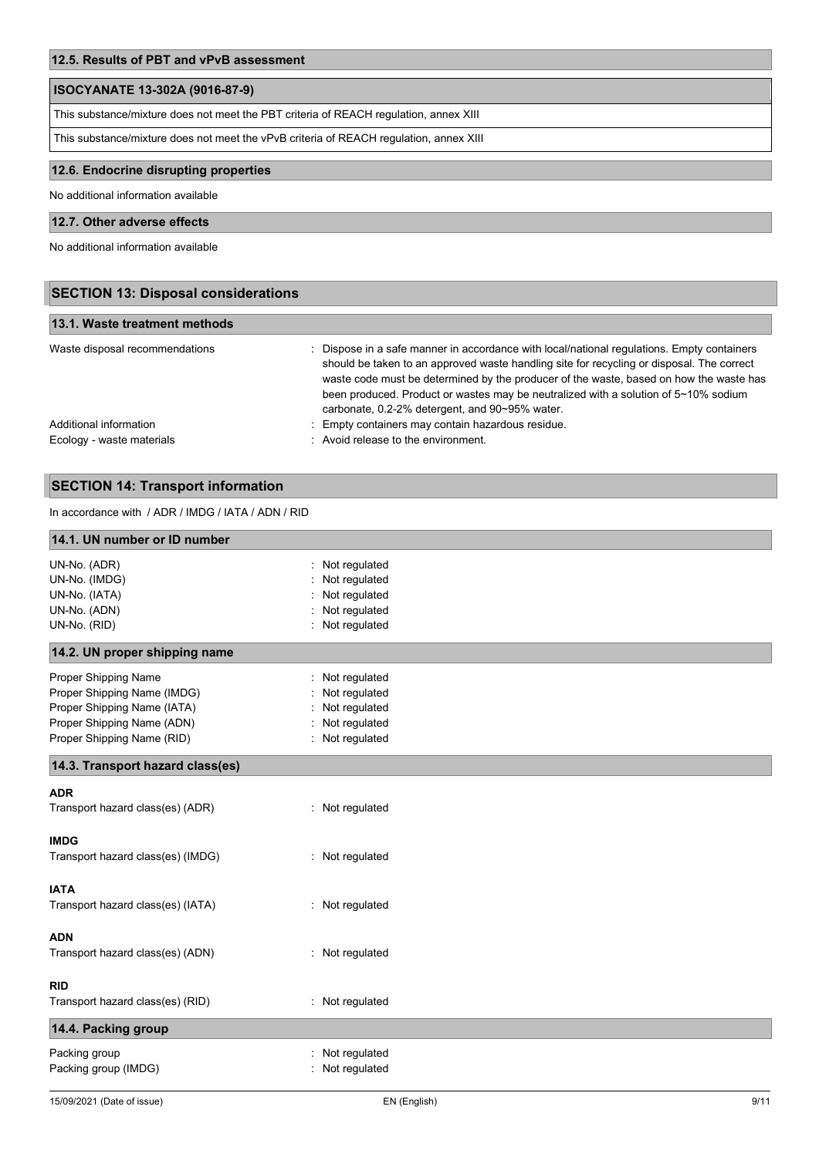# **ISOCYANATE 13-302A (9016-87-9)**

This substance/mixture does not meet the PBT criteria of REACH regulation, annex XIII

This substance/mixture does not meet the vPvB criteria of REACH regulation, annex XIII

# **12.6. Endocrine disrupting properties**

No additional information available

# **12.7. Other adverse effects**

No additional information available

| <b>SECTION 13: Disposal considerations</b>          |                                                                                                                                                                                                                                                                                                                                                                                                                            |  |
|-----------------------------------------------------|----------------------------------------------------------------------------------------------------------------------------------------------------------------------------------------------------------------------------------------------------------------------------------------------------------------------------------------------------------------------------------------------------------------------------|--|
| 13.1. Waste treatment methods                       |                                                                                                                                                                                                                                                                                                                                                                                                                            |  |
| Waste disposal recommendations                      | : Dispose in a safe manner in accordance with local/national regulations. Empty containers<br>should be taken to an approved waste handling site for recycling or disposal. The correct<br>waste code must be determined by the producer of the waste, based on how the waste has<br>been produced. Product or wastes may be neutralized with a solution of 5~10% sodium<br>carbonate, 0.2-2% detergent, and 90~95% water. |  |
| Additional information<br>Ecology - waste materials | : Empty containers may contain hazardous residue.<br>: Avoid release to the environment.                                                                                                                                                                                                                                                                                                                                   |  |

# **SECTION 14: Transport information**

In accordance with / ADR / IMDG / IATA / ADN / RID

| 14.1. UN number or ID number      |                 |  |
|-----------------------------------|-----------------|--|
| UN-No. (ADR)                      | Not regulated   |  |
| UN-No. (IMDG)                     | Not regulated   |  |
| UN-No. (IATA)                     | Not regulated   |  |
| UN-No. (ADN)                      | Not regulated   |  |
| UN-No. (RID)                      | Not regulated   |  |
| 14.2. UN proper shipping name     |                 |  |
| Proper Shipping Name              | Not regulated   |  |
| Proper Shipping Name (IMDG)       | Not regulated   |  |
| Proper Shipping Name (IATA)       | Not regulated   |  |
| Proper Shipping Name (ADN)        | Not regulated   |  |
| Proper Shipping Name (RID)        | : Not regulated |  |
| 14.3. Transport hazard class(es)  |                 |  |
| <b>ADR</b>                        |                 |  |
| Transport hazard class(es) (ADR)  | : Not regulated |  |
| <b>IMDG</b>                       |                 |  |
| Transport hazard class(es) (IMDG) | : Not regulated |  |
| <b>IATA</b>                       |                 |  |
| Transport hazard class(es) (IATA) | : Not regulated |  |
| <b>ADN</b>                        |                 |  |
| Transport hazard class(es) (ADN)  | : Not regulated |  |
| <b>RID</b>                        |                 |  |
| Transport hazard class(es) (RID)  | : Not regulated |  |
| 14.4. Packing group               |                 |  |
| Packing group                     | Not regulated   |  |
| Packing group (IMDG)              | Not regulated   |  |
|                                   |                 |  |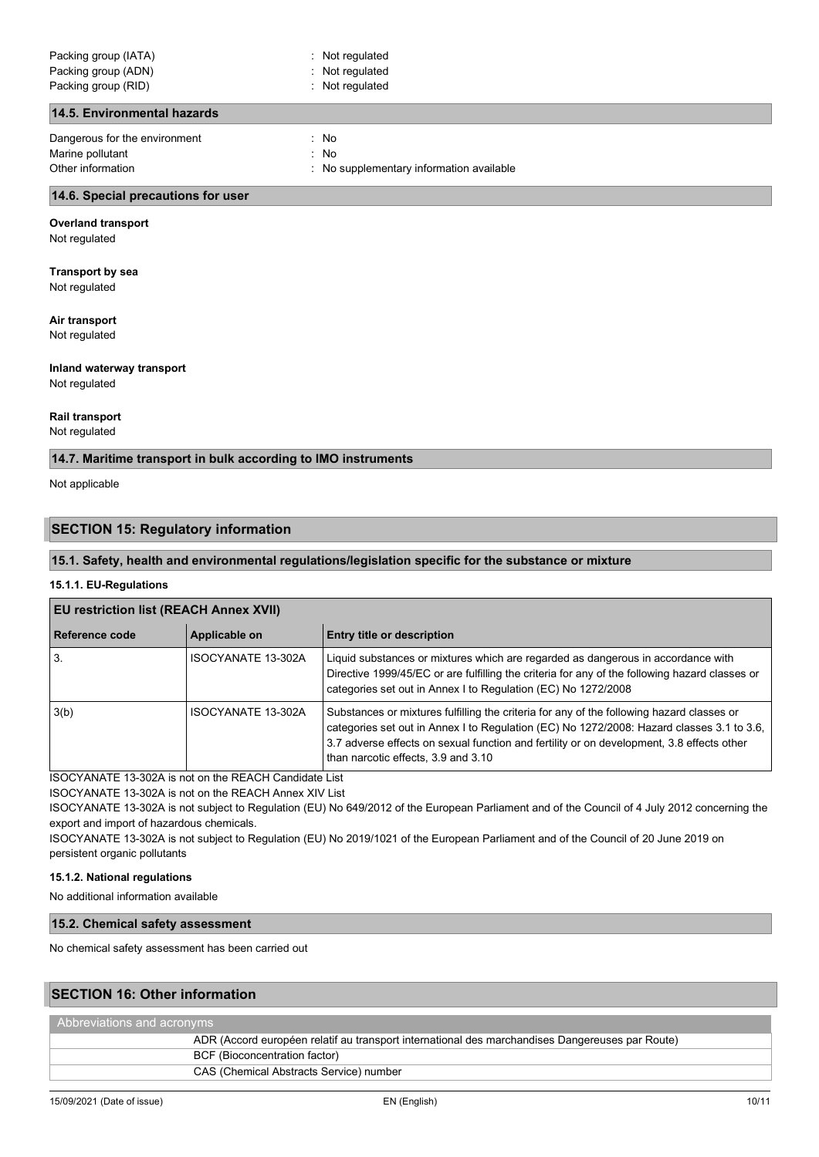### **14.5. Environmental hazards**

Dangerous for the environment : No Marine pollutant in the set of the set of the set of the set of the set of the set of the set of the set of the set of the set of the set of the set of the set of the set of the set of the set of the set of the set of the Other information **COLOGY CONFINSION** : No supplementary information available

#### **14.6. Special precautions for user**

#### **Overland transport**

Not regulated

**Transport by sea** Not regulated

# **Air transport**

Not regulated

# **Inland waterway transport**

Not regulated

#### **Rail transport**

Not regulated

# **14.7. Maritime transport in bulk according to IMO instruments**

Not applicable

# **SECTION 15: Regulatory information**

### **15.1. Safety, health and environmental regulations/legislation specific for the substance or mixture**

#### **15.1.1. EU-Regulations**

### **EU restriction list (REACH Annex XVII)**

| Reference code | Applicable on      | <b>Entry title or description</b>                                                                                                                                                                                                                                                                                          |
|----------------|--------------------|----------------------------------------------------------------------------------------------------------------------------------------------------------------------------------------------------------------------------------------------------------------------------------------------------------------------------|
| 3.             | ISOCYANATE 13-302A | Liquid substances or mixtures which are regarded as dangerous in accordance with<br>Directive 1999/45/EC or are fulfilling the criteria for any of the following hazard classes or<br>categories set out in Annex I to Regulation (EC) No 1272/2008                                                                        |
| 3(b)           | ISOCYANATE 13-302A | Substances or mixtures fulfilling the criteria for any of the following hazard classes or<br>categories set out in Annex I to Regulation (EC) No 1272/2008: Hazard classes 3.1 to 3.6,<br>3.7 adverse effects on sexual function and fertility or on development, 3.8 effects other<br>than narcotic effects, 3.9 and 3.10 |

ISOCYANATE 13-302A is not on the REACH Candidate List

ISOCYANATE 13-302A is not on the REACH Annex XIV List

ISOCYANATE 13-302A is not subject to Regulation (EU) No 649/2012 of the European Parliament and of the Council of 4 July 2012 concerning the export and import of hazardous chemicals.

ISOCYANATE 13-302A is not subject to Regulation (EU) No 2019/1021 of the European Parliament and of the Council of 20 June 2019 on persistent organic pollutants

#### **15.1.2. National regulations**

No additional information available

## **15.2. Chemical safety assessment**

No chemical safety assessment has been carried out

# **SECTION 16: Other information**

| Abbreviations and acronyms                                                                      |  |  |
|-------------------------------------------------------------------------------------------------|--|--|
| ADR (Accord européen relatif au transport international des marchandises Dangereuses par Route) |  |  |
| BCF (Bioconcentration factor)                                                                   |  |  |
| CAS (Chemical Abstracts Service) number                                                         |  |  |
|                                                                                                 |  |  |